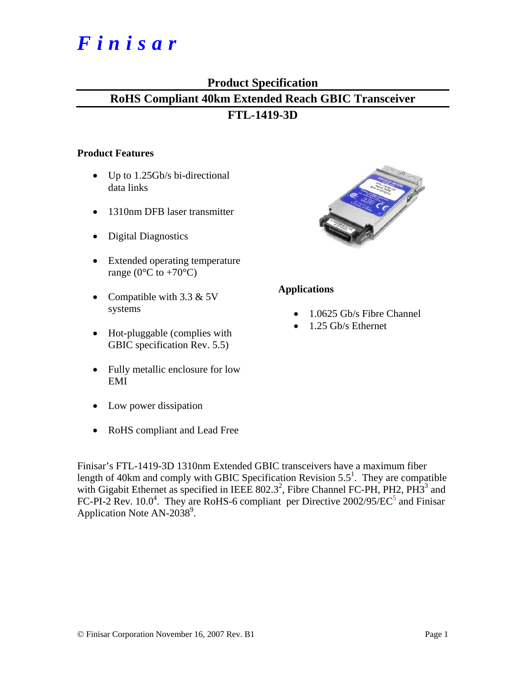# *Finisar*

## **Product Specification**

## **RoHS Compliant 40km Extended Reach GBIC Transceiver FTL-1419-3D**

#### **Product Features**

- Up to 1.25Gb/s bi-directional data links
- 1310nm DFB laser transmitter
- Digital Diagnostics
- Extended operating temperature range ( $0^{\circ}$ C to +70 $^{\circ}$ C)
- Compatible with 3.3 & 5V systems
- Hot-pluggable (complies with GBIC specification Rev. 5.5)
- Fully metallic enclosure for low EMI
- Low power dissipation
- RoHS compliant and Lead Free



#### **Applications**

- 1.0625 Gb/s Fibre Channel
- 1.25 Gb/s Ethernet

Finisar's FTL-1419-3D 1310nm Extended GBIC transceivers have a maximum fiber length of 40km and comply with GBIC Specification Revision  $5.5<sup>1</sup>$ . They are compatible with Gigabit Ethernet as specified in IEEE  $802.3^2$ , Fibre Channel FC-PH, PH2, PH3<sup>3</sup> and FC-PI-2 Rev.  $10.0^4$ . They are RoHS-6 compliant per Directive 2002/95/EC<sup>5</sup> and Finisar Application Note  $AN-2038^9$ .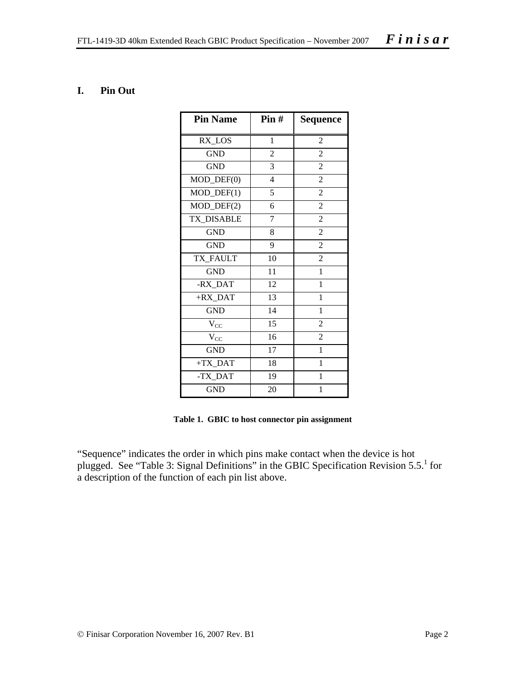#### **I. Pin Out**

| <b>Pin Name</b>        | $\text{Pin } H$ | Sequence       |
|------------------------|-----------------|----------------|
| RX_LOS                 | $\mathbf{1}$    | $\overline{2}$ |
| <b>GND</b>             | $\overline{2}$  | $\overline{c}$ |
| <b>GND</b>             | 3               | $\overline{2}$ |
| MOD_DEF(0)             | 4               | 2              |
| $MOD_$ DEF(1)          | 5               | $\overline{c}$ |
| MOD_DEF(2)             | 6               | $\overline{c}$ |
| TX_DISABLE             | 7               | $\overline{2}$ |
| <b>GND</b>             | 8               | $\overline{2}$ |
| <b>GND</b>             | 9               | 2              |
| TX FAULT               | 10              | $\overline{c}$ |
| <b>GND</b>             | 11              | $\mathbf{1}$   |
| -RX_DAT                | 12              | 1              |
| $+RX$ <sub>_DAT</sub>  | $\overline{13}$ | $\mathbf{1}$   |
| <b>GND</b>             | 14              | $\mathbf{1}$   |
| $V_{CC}$               | 15              | $\overline{c}$ |
| $V_{CC}$               | 16              | $\overline{2}$ |
| <b>GND</b>             | 17              | 1              |
| $+TX$ <sub>_</sub> DAT | 18              | $\mathbf{1}$   |
| -TX_DAT                | 19              | $\mathbf{1}$   |
| <b>GND</b>             | 20              | 1              |

**Table 1. GBIC to host connector pin assignment** 

"Sequence" indicates the order in which pins make contact when the device is hot plugged. See "Table 3: Signal Definitions" in the GBIC Specification Revision  $5.5<sup>1</sup>$  for a description of the function of each pin list above.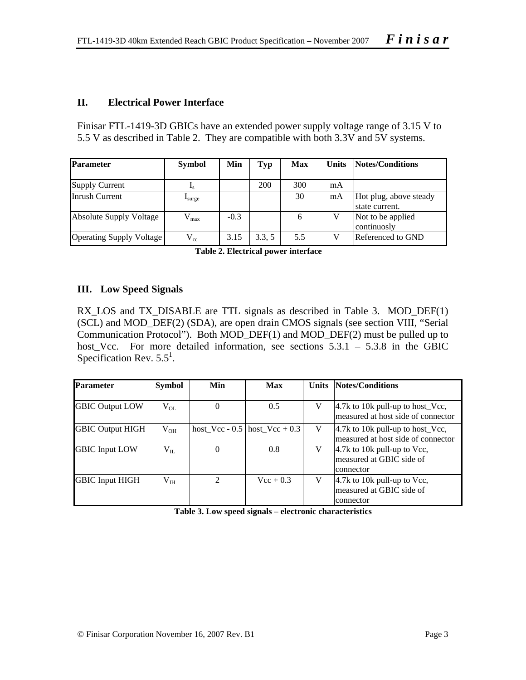#### **II. Electrical Power Interface**

Finisar FTL-1419-3D GBICs have an extended power supply voltage range of 3.15 V to 5.5 V as described in Table 2. They are compatible with both 3.3V and 5V systems.

| <b>Parameter</b>         | <b>Symbol</b>    | Min    | Typ   | Max | <b>Units</b> | Notes/Conditions                         |
|--------------------------|------------------|--------|-------|-----|--------------|------------------------------------------|
| <b>Supply Current</b>    |                  |        | 200   | 300 | mA           |                                          |
| Inrush Current           | <b>L</b> surge   |        |       | 30  | mA           | Hot plug, above steady<br>state current. |
| Absolute Supply Voltage  | $V_{\text{max}}$ | $-0.3$ |       | 6   |              | Not to be applied<br>continuosly         |
| Operating Supply Voltage | $V_{\rm cc}$     | 3.15   | 3.3.5 | 5.5 |              | Referenced to GND                        |

**Table 2. Electrical power interface** 

#### **III. Low Speed Signals**

RX\_LOS and TX\_DISABLE are TTL signals as described in Table 3. MOD\_DEF(1) (SCL) and MOD\_DEF(2) (SDA), are open drain CMOS signals (see section VIII, "Serial Communication Protocol"). Both MOD\_DEF(1) and MOD\_DEF(2) must be pulled up to host\_Vcc. For more detailed information, see sections 5.3.1 – 5.3.8 in the GBIC Specification Rev.  $5.5^1$ .

| <b>Parameter</b>        | <b>Symbol</b> | <b>Min</b> | Max                                 |   | <b>Units Notes/Conditions</b>                                                               |
|-------------------------|---------------|------------|-------------------------------------|---|---------------------------------------------------------------------------------------------|
| <b>GBIC Output LOW</b>  | $V_{OL}$      | $\theta$   | 0.5                                 | V | 4.7k to 10k pull-up to host_Vcc,<br>measured at host side of connector                      |
| <b>GBIC Output HIGH</b> | $V_{OH}$      |            | host_Vcc - $0.5$   host_Vcc + $0.3$ | V | $ 4.7k \text{ to } 10k \text{ pull-up to host\_Vec},$<br>measured at host side of connector |
| <b>GBIC</b> Input LOW   | $V_{II.}$     | 0          | 0.8                                 | V | $ 4.7k \text{ to } 10k \text{ pull-up to Vcc},$<br>measured at GBIC side of<br>connector    |
| <b>GBIC Input HIGH</b>  | $V_{IH}$      | 2          | $Vec + 0.3$                         | V | 4.7k to 10k pull-up to Vcc,<br>measured at GBIC side of<br>connector                        |

**Table 3. Low speed signals – electronic characteristics**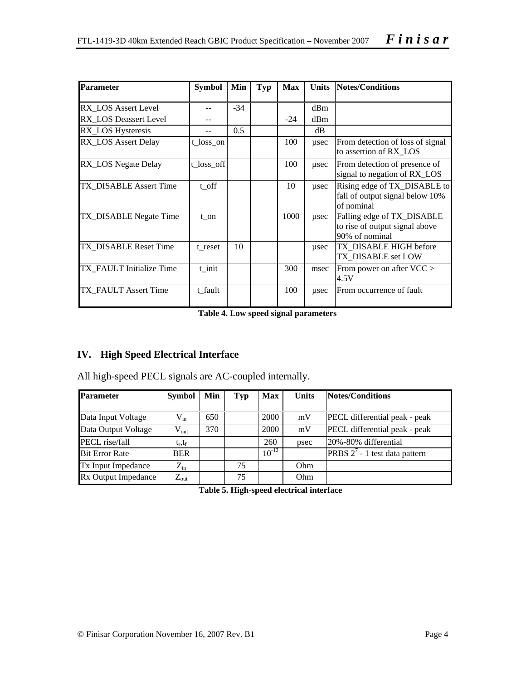| <b>Parameter</b>           | <b>Symbol</b> | Min   | Typ | <b>Max</b> | <b>Units</b> | Notes/Conditions                                                               |
|----------------------------|---------------|-------|-----|------------|--------------|--------------------------------------------------------------------------------|
| RX_LOS Assert Level        |               | $-34$ |     |            | dBm          |                                                                                |
| RX_LOS Deassert Level      |               |       |     | $-24$      | dBm          |                                                                                |
| RX_LOS Hysteresis          |               | 0.5   |     |            | dB           |                                                                                |
| <b>RX LOS Assert Delay</b> | $t_loss_$ on  |       |     | 100        | $\mu$ sec    | From detection of loss of signal<br>to assertion of RX LOS                     |
| RX_LOS Negate Delay        | t_loss_off    |       |     | 100        | $\mu$ sec    | From detection of presence of<br>signal to negation of RX_LOS                  |
| TX DISABLE Assert Time     | t off         |       |     | 10         | $\mu$ sec    | Rising edge of TX_DISABLE to<br>fall of output signal below 10%<br>of nominal  |
| TX_DISABLE Negate Time     | t on          |       |     | 1000       | $\mu$ sec    | Falling edge of TX_DISABLE<br>to rise of output signal above<br>90% of nominal |
| TX DISABLE Reset Time      | t reset       | 10    |     |            | usec         | TX DISABLE HIGH before<br>TX DISABLE set LOW                                   |
| TX FAULT Initialize Time   | t init        |       |     | 300        | msec         | From power on after VCC ><br>4.5V                                              |
| TX FAULT Assert Time       | t fault       |       |     | 100        | $\mu$ sec    | From occurrence of fault                                                       |

**Table 4. Low speed signal parameters** 

## **IV. High Speed Electrical Interface**

All high-speed PECL signals are AC-coupled internally.

| <b>Parameter</b>      | <b>Symbol</b>    | Min | Typ | <b>Max</b> | <b>Units</b> | Notes/Conditions                        |
|-----------------------|------------------|-----|-----|------------|--------------|-----------------------------------------|
|                       |                  |     |     |            |              |                                         |
| Data Input Voltage    | $V_{in}$         | 650 |     | 2000       | mV           | PECL differential peak - peak           |
| Data Output Voltage   | $V_{\text{out}}$ | 370 |     | 2000       | mV           | PECL differential peak - peak           |
| PECL rise/fall        | $t_{r}, t_{f}$   |     |     | 260        | psec         | 20%-80% differential                    |
| <b>Bit Error Rate</b> | <b>BER</b>       |     |     | $10^{-12}$ |              | <b>PRBS</b> $2^7$ - 1 test data pattern |
| Tx Input Impedance    | $Z_{\rm in}$     |     | 75  |            | Ohm          |                                         |
| Rx Output Impedance   | $Z_{\text{out}}$ |     | 75  |            | Ohm          |                                         |

**Table 5. High-speed electrical interface**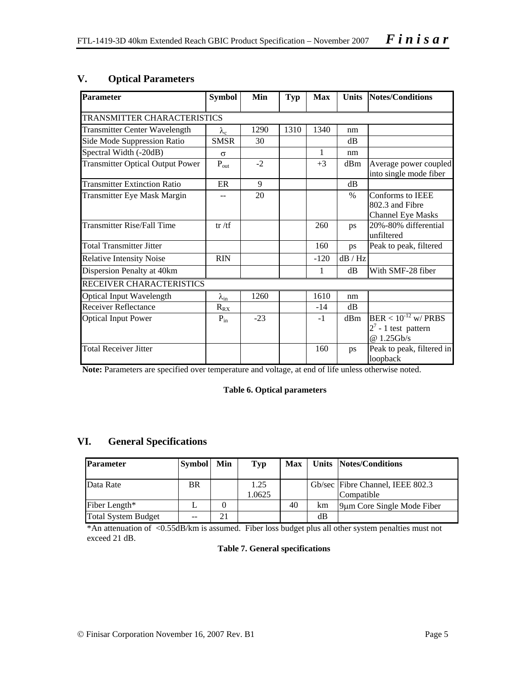| <b>Parameter</b>                        | <b>Symbol</b>         | Min   | <b>Typ</b> | <b>Max</b> | <b>Units</b> | Notes/Conditions                                                 |
|-----------------------------------------|-----------------------|-------|------------|------------|--------------|------------------------------------------------------------------|
| TRANSMITTER CHARACTERISTICS             |                       |       |            |            |              |                                                                  |
| <b>Transmitter Center Wavelength</b>    | $\lambda_{\rm c}$     | 1290  | 1310       | 1340       | nm           |                                                                  |
| Side Mode Suppression Ratio             | <b>SMSR</b>           | 30    |            |            | $\text{dB}$  |                                                                  |
| Spectral Width (-20dB)                  | $\sigma$              |       |            | 1          | nm           |                                                                  |
| <b>Transmitter Optical Output Power</b> | $P_{out}$             | $-2$  |            | $+3$       | dBm          | Average power coupled<br>into single mode fiber                  |
| <b>Transmitter Extinction Ratio</b>     | ER                    | 9     |            |            | dB           |                                                                  |
| Transmitter Eye Mask Margin             |                       | 20    |            |            | $\%$         | Conforms to IEEE<br>802.3 and Fibre<br><b>Channel Eye Masks</b>  |
| <b>Transmitter Rise/Fall Time</b>       | tr / tf               |       |            | 260        | ps           | 20%-80% differential<br>unfiltered                               |
| <b>Total Transmitter Jitter</b>         |                       |       |            | 160        | ps           | Peak to peak, filtered                                           |
| <b>Relative Intensity Noise</b>         | <b>RIN</b>            |       |            | $-120$     | dB/Hz        |                                                                  |
| Dispersion Penalty at 40km              |                       |       |            | 1          | dB           | With SMF-28 fiber                                                |
| RECEIVER CHARACTERISTICS                |                       |       |            |            |              |                                                                  |
| <b>Optical Input Wavelength</b>         | $\lambda_{\text{in}}$ | 1260  |            | 1610       | nm           |                                                                  |
| <b>Receiver Reflectance</b>             | $R_{RX}$              |       |            | $-14$      | dB           |                                                                  |
| <b>Optical Input Power</b>              | $P_{in}$              | $-23$ |            | $-1$       | dBm          | $BER < 10^{-12}$ w/ PRBS<br>$2^7$ - 1 test pattern<br>@ 1.25Gb/s |
| <b>Total Receiver Jitter</b>            |                       |       |            | 160        | ps           | Peak to peak, filtered in<br>loopback                            |

#### **V. Optical Parameters**

**Note:** Parameters are specified over temperature and voltage, at end of life unless otherwise noted.

#### **Table 6. Optical parameters**

#### **VI. General Specifications**

| <b>Parameter</b>           | <b>Symbol</b> | Min | Typ            | <b>Max</b> |    | Units Notes/Conditions                         |
|----------------------------|---------------|-----|----------------|------------|----|------------------------------------------------|
| Data Rate                  | BR            |     | 1.25<br>1.0625 |            |    | Gb/sec Fibre Channel, IEEE 802.3<br>Compatible |
| Fiber Length*              |               |     |                | 40         | km | 9um Core Single Mode Fiber                     |
| <b>Total System Budget</b> | --            | 21  |                |            | dВ |                                                |

\*An attenuation of <0.55dB/km is assumed. Fiber loss budget plus all other system penalties must not exceed 21 dB.

#### **Table 7. General specifications**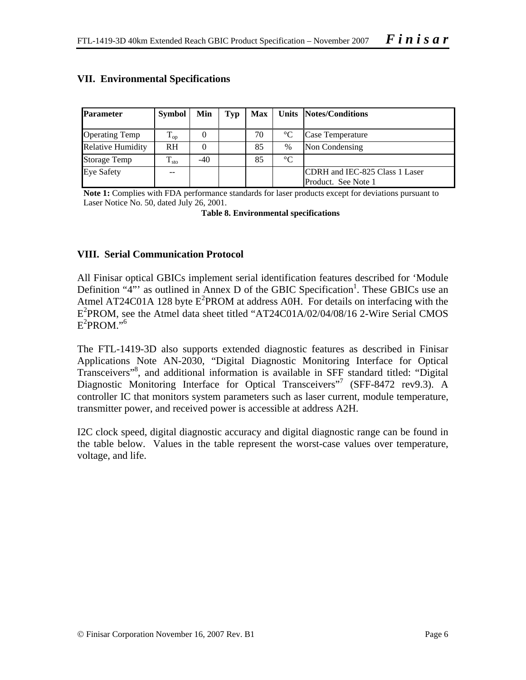| <b>Parameter</b>         | Symbol        | Min   | Typ |    |                 | Max   Units   Notes/Conditions                        |
|--------------------------|---------------|-------|-----|----|-----------------|-------------------------------------------------------|
| <b>Operating Temp</b>    | $T_{op}$      |       |     | 70 | $^{\circ}C$     | Case Temperature                                      |
| <b>Relative Humidity</b> | <b>RH</b>     |       |     | 85 | $\%$            | Non Condensing                                        |
| <b>Storage Temp</b>      | $T_{\rm sto}$ | $-40$ |     | 85 | $\rm ^{\circ}C$ |                                                       |
| <b>Eye Safety</b>        | $- -$         |       |     |    |                 | CDRH and IEC-825 Class 1 Laser<br>Product. See Note 1 |

#### **VII. Environmental Specifications**

**Note 1:** Complies with FDA performance standards for laser products except for deviations pursuant to Laser Notice No. 50, dated July 26, 2001.

**Table 8. Environmental specifications** 

#### **VIII. Serial Communication Protocol**

All Finisar optical GBICs implement serial identification features described for 'Module Definition " $4$ "' as outlined in Annex D of the GBIC Specification<sup>1</sup>. These GBICs use an Atmel AT24C01A 128 byte  $E^2$ PROM at address A0H. For details on interfacing with the E2 PROM, see the Atmel data sheet titled "AT24C01A/02/04/08/16 2-Wire Serial CMOS  $E^2$ PROM."<sup>6</sup>

The FTL-1419-3D also supports extended diagnostic features as described in Finisar Applications Note AN-2030, "Digital Diagnostic Monitoring Interface for Optical Transceivers"8 , and additional information is available in SFF standard titled: "Digital Diagnostic Monitoring Interface for Optical Transceivers"<sup>7</sup> (SFF-8472 rev9.3). A controller IC that monitors system parameters such as laser current, module temperature, transmitter power, and received power is accessible at address A2H.

I2C clock speed, digital diagnostic accuracy and digital diagnostic range can be found in the table below. Values in the table represent the worst-case values over temperature, voltage, and life.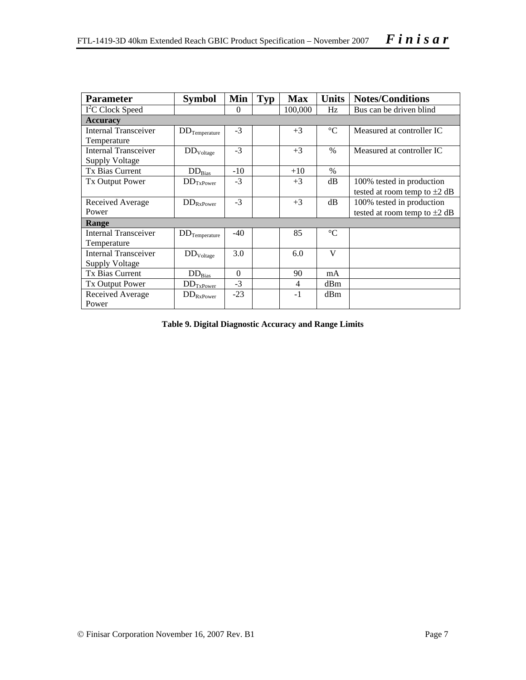| <b>Parameter</b>                                     | <b>Symbol</b>            | Min      | <b>Typ</b> | <b>Max</b> | <b>Units</b>    | <b>Notes/Conditions</b>           |  |  |  |  |
|------------------------------------------------------|--------------------------|----------|------------|------------|-----------------|-----------------------------------|--|--|--|--|
| I <sup>2</sup> C Clock Speed                         |                          | $\Omega$ |            | 100,000    | Hz              | Bus can be driven blind           |  |  |  |  |
| <b>Accuracy</b>                                      |                          |          |            |            |                 |                                   |  |  |  |  |
| Internal Transceiver<br>Temperature                  | $DD_{Temperature}$       | $-3$     |            | $+3$       | $^{\circ}C$     | Measured at controller IC         |  |  |  |  |
| <b>Internal Transceiver</b><br><b>Supply Voltage</b> | $\rm{DD}_{\rm{Voltage}}$ | $-3$     |            | $+3$       | $\%$            | Measured at controller IC         |  |  |  |  |
| Tx Bias Current                                      | $DD_{Bias}$              | $-10$    |            | $+10$      | $\%$            |                                   |  |  |  |  |
| <b>Tx Output Power</b>                               | $DD_{TxPower}$           | $-3$     |            | $+3$       | dB              | 100% tested in production         |  |  |  |  |
|                                                      |                          |          |            |            |                 | tested at room temp to $\pm 2$ dB |  |  |  |  |
| Received Average                                     | $DD_{RxPower}$           | $-3$     |            | $+3$       | dB              | 100% tested in production         |  |  |  |  |
| Power                                                |                          |          |            |            |                 | tested at room temp to $\pm 2$ dB |  |  |  |  |
| Range                                                |                          |          |            |            |                 |                                   |  |  |  |  |
| <b>Internal Transceiver</b>                          | $DD_{Temperature}$       | $-40$    |            | 85         | $\rm ^{\circ}C$ |                                   |  |  |  |  |
| Temperature                                          |                          |          |            |            |                 |                                   |  |  |  |  |
| <b>Internal Transceiver</b>                          | $DD_{Voltage}$           | 3.0      |            | 6.0        | V               |                                   |  |  |  |  |
| <b>Supply Voltage</b>                                |                          |          |            |            |                 |                                   |  |  |  |  |
| Tx Bias Current                                      | $DD_{Bias}$              | $\Omega$ |            | 90         | mA              |                                   |  |  |  |  |
| Tx Output Power                                      | $DD_{TxPower}$           | $-3$     |            | 4          | dBm             |                                   |  |  |  |  |
| Received Average<br>Power                            | $\rm{DD}_{\rm{RxPower}}$ | $-23$    |            | $-1$       | dBm             |                                   |  |  |  |  |

**Table 9. Digital Diagnostic Accuracy and Range Limits**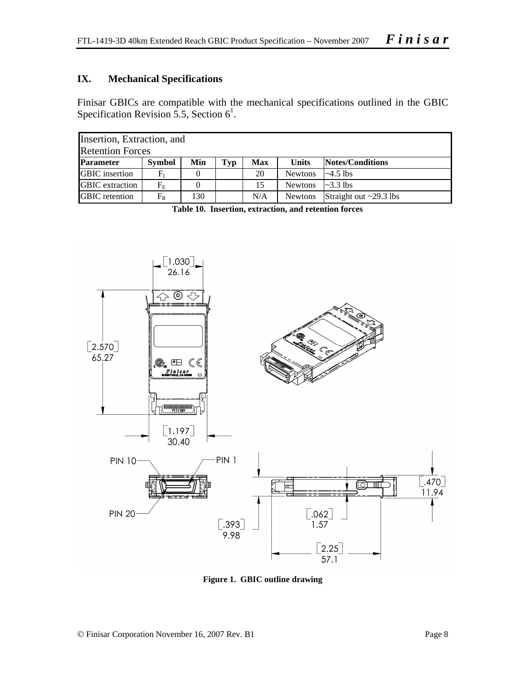#### **IX. Mechanical Specifications**

Finisar GBICs are compatible with the mechanical specifications outlined in the GBIC Specification Revision 5.5, Section  $6^1$ .

| Insertion, Extraction, and |                 |     |     |     |                |                              |  |  |  |
|----------------------------|-----------------|-----|-----|-----|----------------|------------------------------|--|--|--|
| <b>Retention Forces</b>    |                 |     |     |     |                |                              |  |  |  |
| <b>Parameter</b>           | <b>Symbol</b>   | Min | Typ | Max | <b>Units</b>   | Notes/Conditions             |  |  |  |
| <b>GBIC</b> insertion      | $\rm F_{\rm I}$ |     |     | 20  | <b>Newtons</b> | $\sim$ 4.5 lbs               |  |  |  |
| <b>GBIC</b> extraction     | $F_{\rm E}$     |     |     | 15  | <b>Newtons</b> | $\approx$ 3.3 lbs            |  |  |  |
| <b>GBIC</b> retention      | $F_R$           | 130 |     | N/A | <b>Newtons</b> | Straight out $\sim$ 29.3 lbs |  |  |  |

**Table 10. Insertion, extraction, and retention forces** 



**Figure 1. GBIC outline drawing**